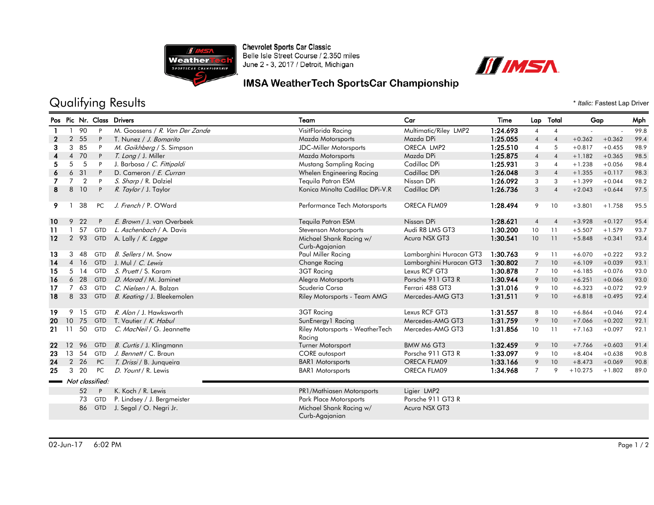

**Chevrolet Sports Car Classic** Belle Isle Street Course / 2.350 miles June 2 - 3, 2017 / Detroit, Michigan



### IMSA WeatherTech SportsCar Championship

## Qualifying Results \* *Italic:* Fastest Lap Driver

|                         |       |                 |                 | Pos Pic Nr. Class Drivers       | Team                                      | Car                     | Time                        |                 | Lap Total      | Gap       |          | Mph  |
|-------------------------|-------|-----------------|-----------------|---------------------------------|-------------------------------------------|-------------------------|-----------------------------|-----------------|----------------|-----------|----------|------|
|                         |       | 90              | P               | M. Goossens / R. Van Der Zande  | VisitFlorida Racing                       | Multimatic/Riley LMP2   | 1:24.693                    | 4               | 4              |           |          | 99.8 |
| $\mathbf{2}$            |       | 2 55            | P               | T. Nunez / J. Bomarito          | Mazda Motorsports                         | Mazda DPi               | 1:25.055                    | $\overline{4}$  | $\overline{4}$ | $+0.362$  | $+0.362$ | 99.4 |
| 3                       | 3     | 85              | P               | M. Goikhberg / S. Simpson       | <b>JDC-Miller Motorsports</b>             | ORECA LMP2              | 1:25.510                    | $\overline{4}$  | 5              | $+0.817$  | $+0.455$ | 98.9 |
| $\overline{\mathbf{A}}$ |       | 4 70            | P               | T. Long / J. Miller             | Mazda Motorsports                         | Mazda DPi               | 1:25.875                    | $\overline{4}$  | $\overline{4}$ | $+1.182$  | $+0.365$ | 98.5 |
| 5                       | 5     | 5               | P               | J. Barbosa / C. Fittipaldi      | Mustang Sampling Racing                   | Cadillac DPi            | 1:25.931                    | 3               | $\overline{4}$ | $+1.238$  | $+0.056$ | 98.4 |
| 6                       | 6     | 31              | P               | D. Cameron / E. Curran          | Whelen Engineering Racing                 | Cadillac DPi            | 1:26.048                    | 3               | $\overline{4}$ | $+1.355$  | $+0.117$ | 98.3 |
| 7                       | 7     | $\overline{2}$  | P               | S. Sharp / R. Dalziel           | <b>Tequila Patron ESM</b>                 | Nissan DPi              | 1:26.092                    | 3               | 3              | $+1.399$  | $+0.044$ | 98.2 |
| 8                       | 8     | 10              | P               | R. Taylor / J. Taylor           | Konica Minolta Cadillac DPi-V.R           | Cadillac DPi            | 1:26.736                    |                 | $\overline{4}$ | $+2.043$  | $+0.644$ | 97.5 |
| 9.                      |       | 38              | PC              | J. French / P. O'Ward           | Performance Tech Motorsports              | ORECA FLM09<br>1:28.494 |                             | 9               | 10             | $+3.801$  | $+1.758$ | 95.5 |
| 10                      | 9     | 22              |                 | E. Brown / J. van Overbeek      | Tequila Patron ESM                        | Nissan DPi              | 1:28.621                    | $\overline{4}$  | $\overline{4}$ | $+3.928$  | $+0.127$ | 95.4 |
| 11                      |       | 57              | <b>GTD</b>      | L. Aschenbach / A. Davis        | Stevenson Motorsports                     | Audi R8 LMS GT3         | 1:30.200                    | 10              | 11             | $+5.507$  | $+1.579$ | 93.7 |
| $12 \,$                 |       | 2 93            | <b>GTD</b>      | A. Lally / K. Legge             | Michael Shank Racing w/<br>Curb-Agajanian | Acura NSX GT3           | 1:30.541<br>10 <sup>°</sup> |                 | 11             | $+5.848$  | $+0.341$ | 93.4 |
| 13                      | 3     | 48              | <b>GTD</b>      | B. Sellers / M. Snow            | Paul Miller Racing                        | Lamborghini Huracan GT3 | 1:30.763                    | 9               | 11             | $+6.070$  | $+0.222$ | 93.2 |
| 14                      |       | 4 16            | <b>GTD</b>      | J. Mul / C. Lewis               | Change Racing                             | Lamborghini Huracan GT3 | 1:30.802                    | $7^{\circ}$     | 10             | $+6.109$  | $+0.039$ | 93.1 |
| 15                      |       | 5 14            | GTD             | S. Pruett / S. Karam            | 3GT Racing                                | Lexus RCF GT3           | 1:30.878                    | $7^{\circ}$     | 10             | $+6.185$  | $+0.076$ | 93.0 |
| 16                      |       | 6 <sub>28</sub> | <b>GTD</b>      | D. Morad / M. Jaminet           | Alegra Motorsports                        | Porsche 911 GT3 R       | 1:30.944                    | 9               | 10             | $+6.251$  | $+0.066$ | 93.0 |
| 17                      |       | 7 63            | GTD             | C. Nielsen / A. Balzan          | Scuderia Corsa                            | Ferrari 488 GT3         | 1:31.016                    | 9               | 10             | $+6.323$  | $+0.072$ | 92.9 |
| 18                      | 8     | 33              | <b>GTD</b>      | B. Keating / J. Bleekemolen     | Riley Motorsports - Team AMG              | Mercedes-AMG GT3        | 1:31.511                    | 9               | 10             | $+6.818$  | $+0.495$ | 92.4 |
| 19                      | 9     | 15              | <b>GTD</b>      | R. Alon / J. Hawksworth         | 3GT Racing                                | Lexus RCF GT3           | 1:31.557                    | 8               | 10             | $+6.864$  | $+0.046$ | 92.4 |
| 20                      | 10 75 |                 | <b>GTD</b>      | T. Vautier / K. Habul           | SunEnergy1 Racing                         | Mercedes-AMG GT3        | 1:31.759                    | 9               | 10             | $+7.066$  | $+0.202$ | 92.1 |
| 21                      | -11   | 50              | <b>GTD</b>      | C. MacNeil / G. Jeannette       | Riley Motorsports - WeatherTech<br>Racing | Mercedes-AMG GT3        | 1:31.856                    | 10 <sup>°</sup> | 11             | $+7.163$  | $+0.097$ | 92.1 |
| 22                      | 12    | 96              | <b>GTD</b>      | B. Curtis / J. Klingmann        | Turner Motorsport                         | <b>BMW M6 GT3</b>       | 1:32.459                    | 9               | 10             | $+7.766$  | $+0.603$ | 91.4 |
| 23                      | 13 54 |                 | <b>GTD</b>      | J. Bennett / C. Braun           | CORE autosport                            | Porsche 911 GT3 R       | 1:33.097                    | 9               | 10             | $+8.404$  | $+0.638$ | 90.8 |
| 24                      |       | 2 26            | PC              | <i>T. Drissi</i> / B. Jungueira | <b>BAR1</b> Motorsports                   | ORECA FLM09             | 1:33.166                    | 9               | 10             | $+8.473$  | $+0.069$ | 90.8 |
| 25                      | 3     | -20             | PC              | D. Yount / R. Lewis             | <b>BAR1</b> Motorsports                   | ORECA FLM09             | 1:34.968                    | $\overline{7}$  | 9              | $+10.275$ | $+1.802$ | 89.0 |
|                         |       |                 | Not classified: |                                 |                                           |                         |                             |                 |                |           |          |      |
|                         |       | 52              |                 | K. Koch / R. Lewis              | PR1/Mathiasen Motorsports                 | Ligier LMP2             |                             |                 |                |           |          |      |
|                         |       | 73              | <b>GTD</b>      | P. Lindsey / J. Bergmeister     | <b>Park Place Motorsports</b>             | Porsche 911 GT3 R       |                             |                 |                |           |          |      |
|                         |       | 86              | GTD             | J. Segal / O. Negri Jr.         | Michael Shank Racing w/<br>Curb-Agajanian | Acura NSX GT3           |                             |                 |                |           |          |      |